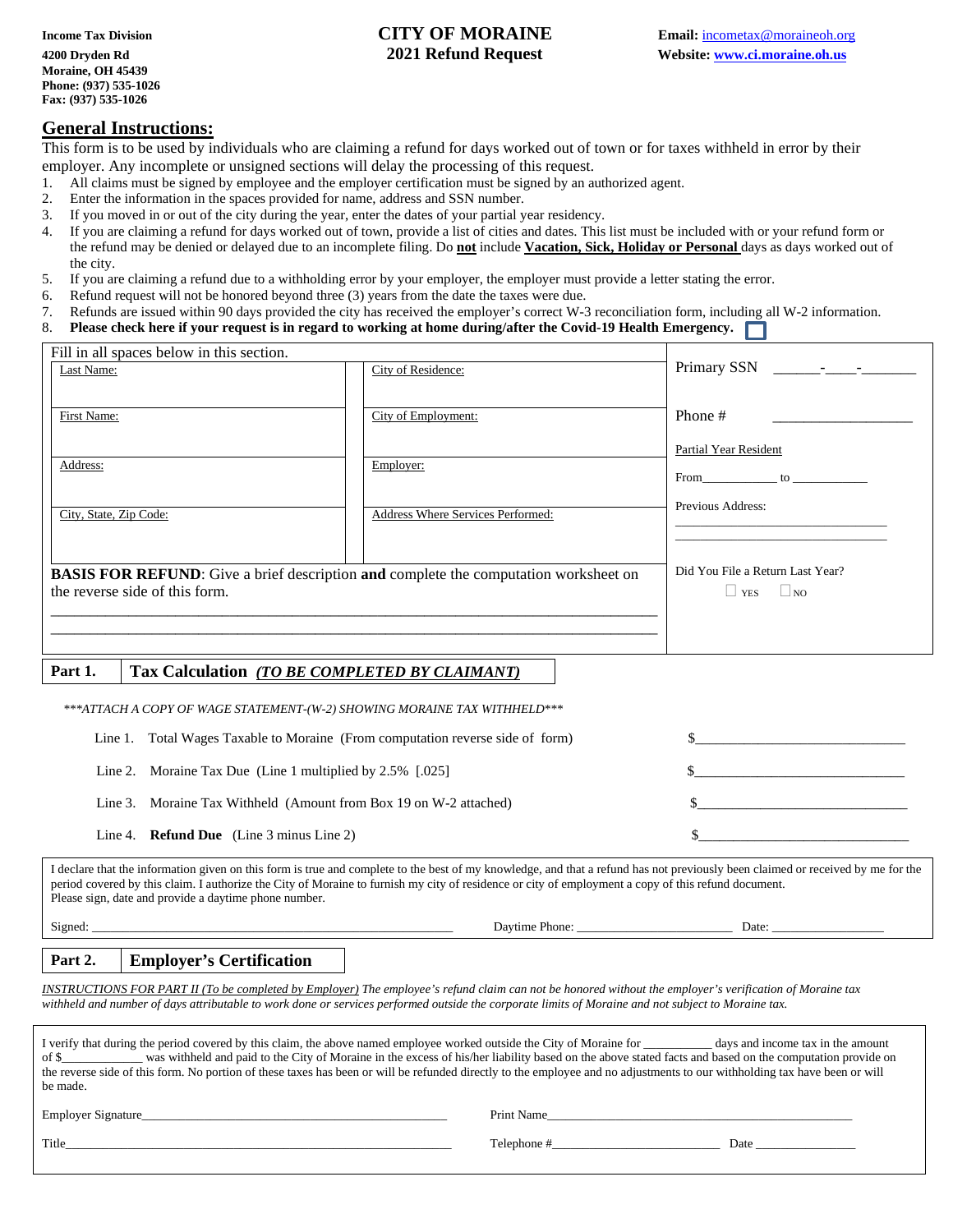# **Income Tax Division CITY OF MORAINE Email:** incometax @moraineoh.org

#### **General Instructions:**

This form is to be used by individuals who are claiming a refund for days worked out of town or for taxes withheld in error by their employer. Any incomplete or unsigned sections will delay the processing of this request.

- 1. All claims must be signed by employee and the employer certification must be signed by an authorized agent.
- 2. Enter the information in the spaces provided for name, address and SSN number.<br>3. If you moved in or out of the city during the year, enter the dates of your partial y
- 3. If you moved in or out of the city during the year, enter the dates of your partial year residency.<br>4. If you are claiming a refund for days worked out of town, provide a list of cities and dates. This
- 4. If you are claiming a refund for days worked out of town, provide a list of cities and dates. This list must be included with or your refund form or the refund may be denied or delayed due to an incomplete filing. Do **not** include **Vacation, Sick, Holiday or Personal** days as days worked out of the city.
- 5. If you are claiming a refund due to a withholding error by your employer, the employer must provide a letter stating the error.
- 6. Refund request will not be honored beyond three (3) years from the date the taxes were due.
- 7. Refunds are issued within 90 days provided the city has received the employer's correct W-3 reconciliation form, including all W-2 information.
- 8. **Please check here if your request is in regard to working at home during/after the Covid-19 Health Emergency.**

| Fill in all spaces below in this section.<br>Last Name:                                                                       | City of Residence:                                            |                                                                                            |  |  |  |
|-------------------------------------------------------------------------------------------------------------------------------|---------------------------------------------------------------|--------------------------------------------------------------------------------------------|--|--|--|
| First Name:                                                                                                                   | City of Employment:                                           | Phone #                                                                                    |  |  |  |
| Address:<br>City, State, Zip Code:                                                                                            | Employer:<br>Address Where Services Performed:                | Partial Year Resident<br>$From$ to $\qquad \qquad$ to $\qquad \qquad$<br>Previous Address: |  |  |  |
| <b>BASIS FOR REFUND:</b> Give a brief description and complete the computation worksheet on<br>the reverse side of this form. | Did You File a Return Last Year?<br>$\vert$ $\vert$ NO<br>YES |                                                                                            |  |  |  |

### **Part 1. Tax Calculation** *(TO BE COMPLETED BY CLAIMANT)*

| ***ATTACH A COPY OF WAGE STATEMENT-(W-2) SHOWING MORAINE TAX WITHHELD ***      |                                                                                                                       |  |  |  |  |  |  |  |  |
|--------------------------------------------------------------------------------|-----------------------------------------------------------------------------------------------------------------------|--|--|--|--|--|--|--|--|
| Line 1. Total Wages Taxable to Moraine (From computation reverse side of form) | <u> 1989 - Johann Harry Harry Harry Harry Harry Harry Harry Harry Harry Harry Harry Harry Harry Harry Harry Harry</u> |  |  |  |  |  |  |  |  |
| Line 2. Moraine Tax Due (Line 1 multiplied by $2.5\%$ [.025]                   |                                                                                                                       |  |  |  |  |  |  |  |  |
| Line 3. Moraine Tax Withheld (Amount from Box 19 on W-2 attached)              |                                                                                                                       |  |  |  |  |  |  |  |  |
| Line 4. <b>Refund Due</b> (Line 3 minus Line 2)                                |                                                                                                                       |  |  |  |  |  |  |  |  |

I declare that the information given on this form is true and complete to the best of my knowledge, and that a refund has not previously been claimed or received by me for the period covered by this claim. I authorize the City of Moraine to furnish my city of residence or city of employment a copy of this refund document. Please sign, date and provide a daytime phone number.

Signed: \_\_\_\_\_\_\_\_\_\_\_\_\_\_\_\_\_\_\_\_\_\_\_\_\_\_\_\_\_\_\_\_\_\_\_\_\_\_\_\_\_\_\_\_\_\_\_\_\_\_\_\_\_\_\_\_\_\_ Daytime Phone: \_\_\_\_\_\_\_\_\_\_\_\_\_\_\_\_\_\_\_\_\_\_\_\_\_ Date: \_\_\_\_\_\_\_\_\_\_\_\_\_\_\_\_\_\_

### **Part 2. Employer's Certification**

*INSTRUCTIONS FOR PART II (To be completed by Employer) The employee's refund claim can not be honored without the employer's verification of Moraine tax withheld and number of days attributable to work done or services performed outside the corporate limits of Moraine and not subject to Moraine tax.*

| I verify that during the period covered by this claim, the above named employee worked outside the City of Moraine for<br>days and income tax in the amount<br>was withheld and paid to the City of Moraine in the excess of his/her liability based on the above stated facts and based on the computation provide on<br>of \$<br>the reverse side of this form. No portion of these taxes has been or will be refunded directly to the employee and no adjustments to our withholding tax have been or will<br>be made. |                     |  |  |  |  |  |  |  |
|---------------------------------------------------------------------------------------------------------------------------------------------------------------------------------------------------------------------------------------------------------------------------------------------------------------------------------------------------------------------------------------------------------------------------------------------------------------------------------------------------------------------------|---------------------|--|--|--|--|--|--|--|
| Employer Signature                                                                                                                                                                                                                                                                                                                                                                                                                                                                                                        | Print Name          |  |  |  |  |  |  |  |
| Title                                                                                                                                                                                                                                                                                                                                                                                                                                                                                                                     | Telephone #<br>Date |  |  |  |  |  |  |  |